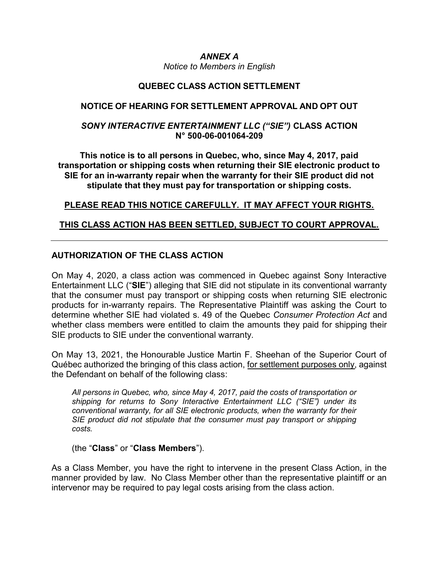# ANNEX A

Notice to Members in English

## QUEBEC CLASS ACTION SETTLEMENT

## NOTICE OF HEARING FOR SETTLEMENT APPROVAL AND OPT OUT

## SONY INTERACTIVE ENTERTAINMENT LLC ("SIE") CLASS ACTION N° 500-06-001064-209

This notice is to all persons in Quebec, who, since May 4, 2017, paid transportation or shipping costs when returning their SIE electronic product to SIE for an in-warranty repair when the warranty for their SIE product did not stipulate that they must pay for transportation or shipping costs.

# PLEASE READ THIS NOTICE CAREFULLY. IT MAY AFFECT YOUR RIGHTS.

# THIS CLASS ACTION HAS BEEN SETTLED, SUBJECT TO COURT APPROVAL.

# AUTHORIZATION OF THE CLASS ACTION

On May 4, 2020, a class action was commenced in Quebec against Sony Interactive Entertainment LLC ("SIE") alleging that SIE did not stipulate in its conventional warranty that the consumer must pay transport or shipping costs when returning SIE electronic products for in-warranty repairs. The Representative Plaintiff was asking the Court to determine whether SIE had violated s. 49 of the Quebec Consumer Protection Act and whether class members were entitled to claim the amounts they paid for shipping their SIE products to SIE under the conventional warranty.

On May 13, 2021, the Honourable Justice Martin F. Sheehan of the Superior Court of Québec authorized the bringing of this class action, for settlement purposes only, against the Defendant on behalf of the following class:

All persons in Quebec, who, since May 4, 2017, paid the costs of transportation or shipping for returns to Sony Interactive Entertainment LLC ("SIE") under its conventional warranty, for all SIE electronic products, when the warranty for their SIE product did not stipulate that the consumer must pay transport or shipping costs.

### (the "Class" or "Class Members").

As a Class Member, you have the right to intervene in the present Class Action, in the manner provided by law. No Class Member other than the representative plaintiff or an intervenor may be required to pay legal costs arising from the class action.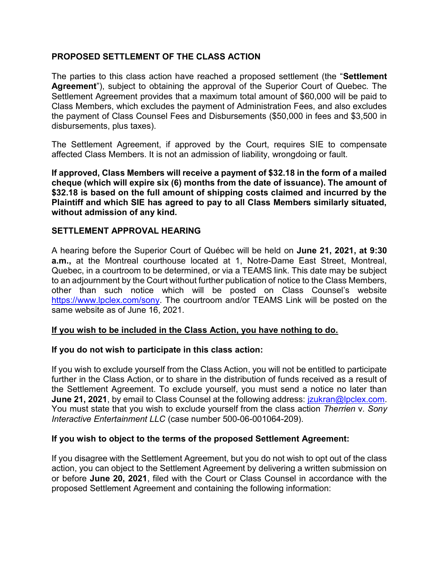## PROPOSED SETTLEMENT OF THE CLASS ACTION

The parties to this class action have reached a proposed settlement (the "Settlement" Agreement"), subject to obtaining the approval of the Superior Court of Quebec. The Settlement Agreement provides that a maximum total amount of \$60,000 will be paid to Class Members, which excludes the payment of Administration Fees, and also excludes the payment of Class Counsel Fees and Disbursements (\$50,000 in fees and \$3,500 in disbursements, plus taxes).

The Settlement Agreement, if approved by the Court, requires SIE to compensate affected Class Members. It is not an admission of liability, wrongdoing or fault.

If approved, Class Members will receive a payment of \$32.18 in the form of a mailed cheque (which will expire six (6) months from the date of issuance). The amount of \$32.18 is based on the full amount of shipping costs claimed and incurred by the Plaintiff and which SIE has agreed to pay to all Class Members similarly situated, without admission of any kind.

### SETTLEMENT APPROVAL HEARING

A hearing before the Superior Court of Québec will be held on June 21, 2021, at 9:30 a.m., at the Montreal courthouse located at 1, Notre-Dame East Street, Montreal, Quebec, in a courtroom to be determined, or via a TEAMS link. This date may be subject to an adjournment by the Court without further publication of notice to the Class Members, other than such notice which will be posted on Class Counsel's website https://www.lpclex.com/sony. The courtroom and/or TEAMS Link will be posted on the same website as of June 16, 2021.

### If you wish to be included in the Class Action, you have nothing to do.

### If you do not wish to participate in this class action:

If you wish to exclude yourself from the Class Action, you will not be entitled to participate further in the Class Action, or to share in the distribution of funds received as a result of the Settlement Agreement. To exclude yourself, you must send a notice no later than June 21, 2021, by email to Class Counsel at the following address: *jzukran@lpclex.com.* You must state that you wish to exclude yourself from the class action Therrien v. Sony Interactive Entertainment LLC (case number 500-06-001064-209).

### If you wish to object to the terms of the proposed Settlement Agreement:

If you disagree with the Settlement Agreement, but you do not wish to opt out of the class action, you can object to the Settlement Agreement by delivering a written submission on or before June 20, 2021, filed with the Court or Class Counsel in accordance with the proposed Settlement Agreement and containing the following information: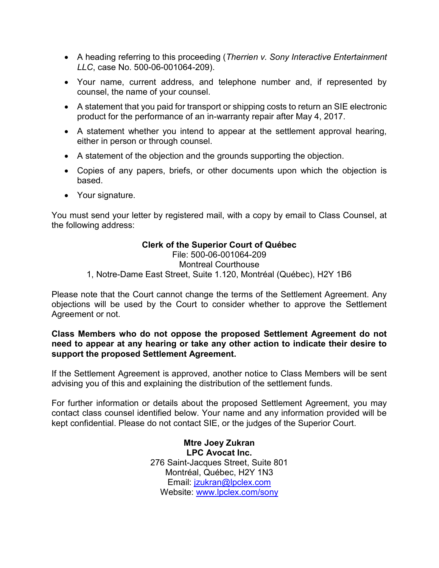- A heading referring to this proceeding (Therrien v. Sony Interactive Entertainment LLC, case No. 500-06-001064-209).
- Your name, current address, and telephone number and, if represented by counsel, the name of your counsel.
- A statement that you paid for transport or shipping costs to return an SIE electronic product for the performance of an in-warranty repair after May 4, 2017.
- A statement whether you intend to appear at the settlement approval hearing, either in person or through counsel.
- A statement of the objection and the grounds supporting the objection.
- Copies of any papers, briefs, or other documents upon which the objection is based.
- Your signature.

You must send your letter by registered mail, with a copy by email to Class Counsel, at the following address:

## Clerk of the Superior Court of Québec

File: 500-06-001064-209 Montreal Courthouse 1, Notre-Dame East Street, Suite 1.120, Montréal (Québec), H2Y 1B6

Please note that the Court cannot change the terms of the Settlement Agreement. Any objections will be used by the Court to consider whether to approve the Settlement Agreement or not.

### Class Members who do not oppose the proposed Settlement Agreement do not need to appear at any hearing or take any other action to indicate their desire to support the proposed Settlement Agreement.

If the Settlement Agreement is approved, another notice to Class Members will be sent advising you of this and explaining the distribution of the settlement funds.

For further information or details about the proposed Settlement Agreement, you may contact class counsel identified below. Your name and any information provided will be kept confidential. Please do not contact SIE, or the judges of the Superior Court.

> Mtre Joey Zukran LPC Avocat Inc. 276 Saint-Jacques Street, Suite 801 Montréal, Québec, H2Y 1N3 Email: jzukran@lpclex.com Website: www.lpclex.com/sony